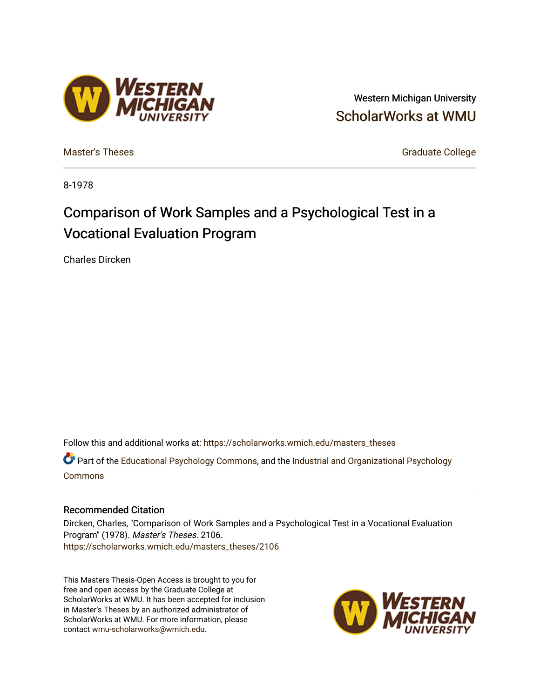# Western Michigan University [ScholarWorks at WMU](https://scholarworks.wmich.edu/)

[Master's Theses](https://scholarworks.wmich.edu/masters_theses) [Graduate College](https://scholarworks.wmich.edu/grad) Controller College College College College College

8-1978

# Comparison of Work Samples and a Psychological Test in a Vocational Evaluation Program

Charles Dircken

Follow this and additional works at: [https://scholarworks.wmich.edu/masters\\_theses](https://scholarworks.wmich.edu/masters_theses?utm_source=scholarworks.wmich.edu%2Fmasters_theses%2F2106&utm_medium=PDF&utm_campaign=PDFCoverPages) 

Part of the [Educational Psychology Commons,](http://network.bepress.com/hgg/discipline/798?utm_source=scholarworks.wmich.edu%2Fmasters_theses%2F2106&utm_medium=PDF&utm_campaign=PDFCoverPages) and the [Industrial and Organizational Psychology](http://network.bepress.com/hgg/discipline/412?utm_source=scholarworks.wmich.edu%2Fmasters_theses%2F2106&utm_medium=PDF&utm_campaign=PDFCoverPages)  [Commons](http://network.bepress.com/hgg/discipline/412?utm_source=scholarworks.wmich.edu%2Fmasters_theses%2F2106&utm_medium=PDF&utm_campaign=PDFCoverPages)

## Recommended Citation

Dircken, Charles, "Comparison of Work Samples and a Psychological Test in a Vocational Evaluation Program" (1978). Master's Theses. 2106. [https://scholarworks.wmich.edu/masters\\_theses/2106](https://scholarworks.wmich.edu/masters_theses/2106?utm_source=scholarworks.wmich.edu%2Fmasters_theses%2F2106&utm_medium=PDF&utm_campaign=PDFCoverPages) 

This Masters Thesis-Open Access is brought to you for free and open access by the Graduate College at ScholarWorks at WMU. It has been accepted for inclusion in Master's Theses by an authorized administrator of ScholarWorks at WMU. For more information, please contact [wmu-scholarworks@wmich.edu](mailto:wmu-scholarworks@wmich.edu).



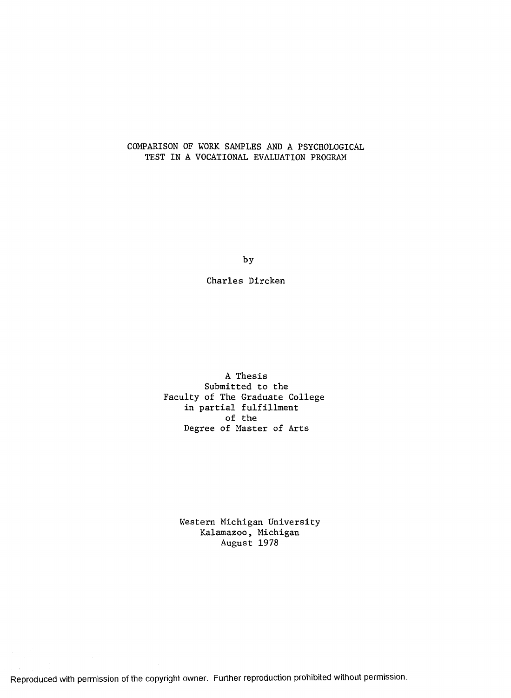# COMPARISON OF WORK SAMPLES AND A PSYCHOLOGICAL TEST IN A VOCATIONAL EVALUATION PROGRAM

by

Charles Dircken

A Thesis Submitted to the Faculty of The Graduate College in partial fulfillment of the Degree of Master of Arts

> Western Michigan University Kalamazoo, Michigan August 1978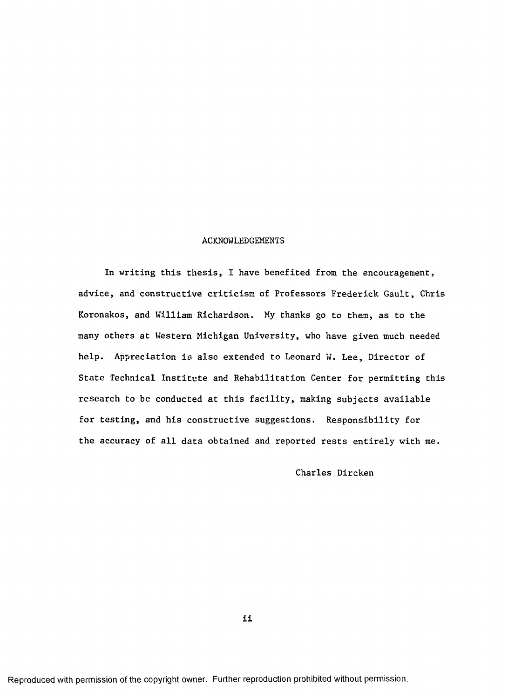#### ACKNOWLEDGEMENTS

In writing this thesis, I have benefited from the encouragement, advice, and constructive criticism of Professors Frederick Gault, Chris Koronakos, and William Richardson. My thanks go to them, as to the many others at Western Michigan University, who have given much needed help. Appreciation is also extended to Leonard W. Lee, Director of State Technical Institute and Rehabilitation Center for permitting this research to be conducted at this facility, making subjects available for testing, and his constructive suggestions. Responsibility for the accuracy of all data obtained and reported rests entirely with me.

Charles Dircken

ii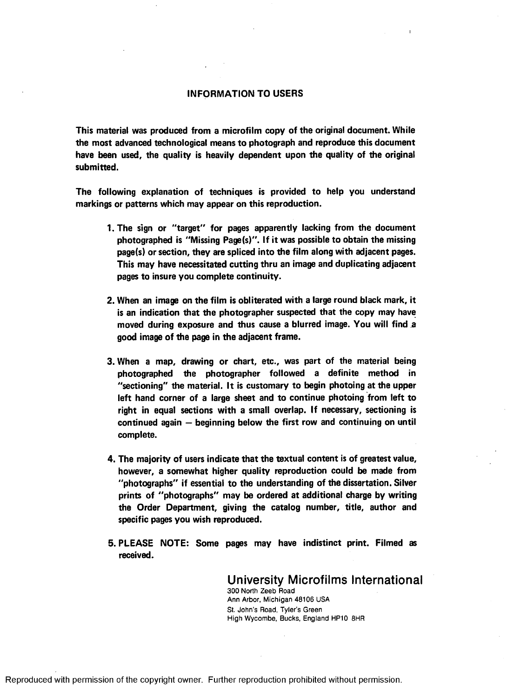#### INFORMATION TO USERS

I

This material was produced from a microfilm copy of the original document. While the most advanced technological means to photograph and reproduce this document have been used, the quality is heavily dependent upon the quality of the original submitted.

The following explanation of techniques is provided to help you understand markings or patterns which may appear on this reproduction.

- 1.The sign or "target" for pages apparently lacking from the document photographed is "Missing Page(s)". If it was possible to obtain the missing page(s) or section, they are spliced into the film along with adjacent pages. This may have necessitated cutting thru an image and duplicating adjacent pages to insure you complete continuity.
- 2. When an image on the film is obliterated with a large round black mark, it is an indication that the photographer suspected that the copy may have moved during exposure and thus cause a blurred image. You will find a good image of the page in the adjacent frame.
- 3. When a map, drawing or chart, etc., was part of the material being photographed the photographer followed a definite method in "sectioning" the material. It is customary to begin photoing at the upper left hand corner of a large sheet and to continue photoing from left to right in equal sections with a small overlap. If necessary, sectioning is continued again - beginning below the first row and continuing on until complete.
- 4. The majority of users indicate that the textual content is of greatest value, however, a somewhat higher quality reproduction could be made from "photographs" if essential to the understanding of the dissertation. Silver prints of "photographs" may be ordered at additional charge by writing the Order Department, giving the catalog number, title, author and specific pages you wish reproduced.
- 5. PLEASE NOTE: Some pages may have indistinct print. Filmed as received.

**University Microfilms International** 300 North Zeeb Road Ann Arbor, Michigan 48106 USA St. John's Road, Tyler's Green High Wycombe, Bucks, England HP10 8HR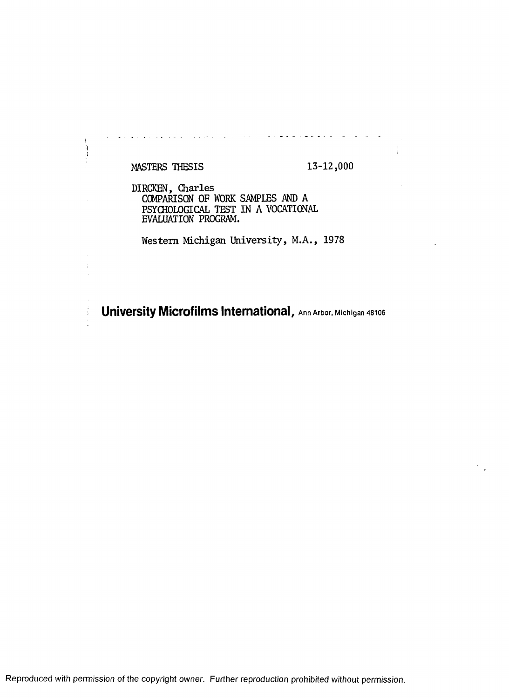# MASTERS THESIS 13-12,000

 $\frac{1}{2}$ i<br>1

÷

 $\frac{1}{l}$ 

DIRCKEN, Charles COMPARISON OF WORK SAMPLES AND A PSYCHOLOGICAL TEST IN A VOCATIONAL EVALUATION PROGRAM.

Western Michigan University, M.A., 1978

**University Microfilms International, Ann Arbor, Michigan 48106**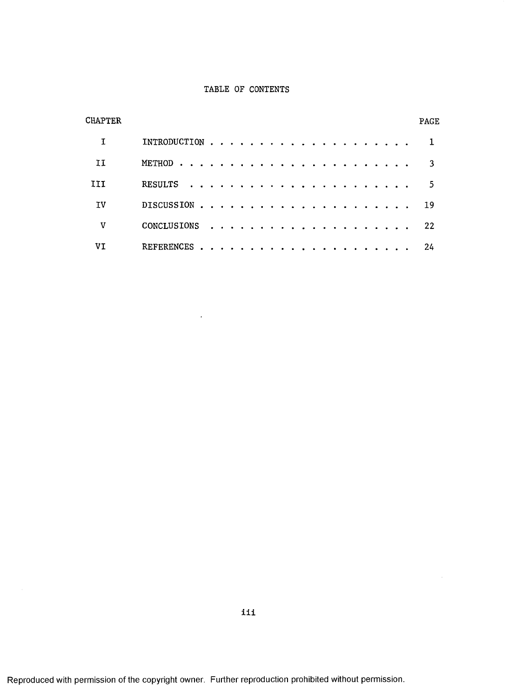#### TABLE OF CONTENTS

| CHAPTER |                        | PAGE |
|---------|------------------------|------|
|         |                        |      |
| H       |                        |      |
| III     | RESULTS                | 5    |
| IV      |                        | -19  |
| v       |                        | 22   |
| VT      | .<br><b>REFERENCES</b> | 24   |

 $\ddot{\phantom{a}}$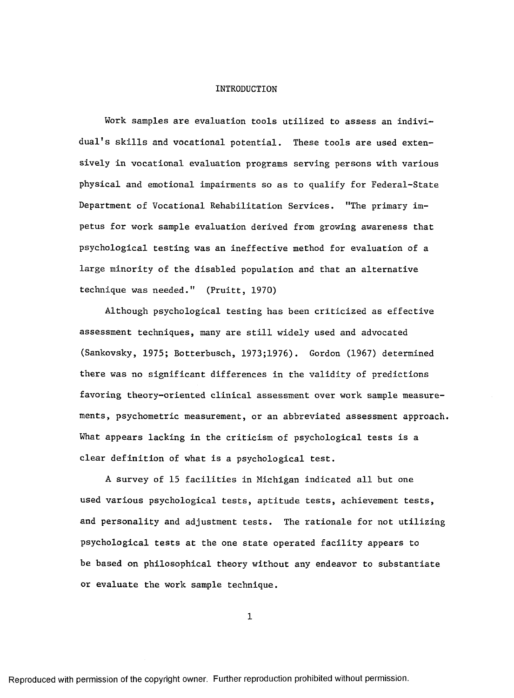#### INTRODUCTION

Work samples are evaluation tools utilized to assess an individual's skills and vocational potential. These tools are used extensively in vocational evaluation programs serving persons with various physical and emotional impairments so as to qualify for Federal-State Department of Vocational Rehabilitation Services. "The primary impetus for work sample evaluation derived from growing awareness that psychological testing was an ineffective method for evaluation of a large minority of the disabled population and that an alternative technique was needed." (Pruitt, 1970)

Although psychological testing has been criticized as effective assessment techniques, many are still widely used and advocated (Sankovsky, 1975; Botterbusch, 1973;1976). Gordon (1967) determined there was no significant differences in the validity of predictions favoring theory-oriented clinical assessment over work sample measurements, psychometric measurement, or an abbreviated assessment approach. What appears lacking in the criticism of psychological tests is a clear definition of what is a psychological test.

A survey of 15 facilities in Michigan indicated all but one used various psychological tests, aptitude tests, achievement tests, and personality and adjustment tests. The rationale for not utilizing psychological tests at the one state operated facility appears to be based on philosophical theory without any endeavor to substantiate or evaluate the work sample technique.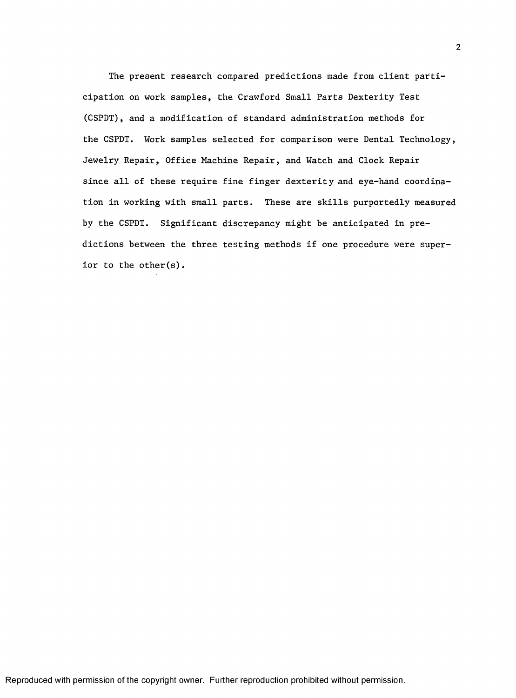The present research compared predictions made from client participation on work samples, the Crawford Small Parts Dexterity Test (CSPDT), and a modification of standard administration methods for the CSPDT. Work samples selected for comparison were Dental Technology, Jewelry Repair, Office Machine Repair, and Watch and Clock Repair since all of these require fine finger dexterity and eye-hand coordination in working with small parts. These are skills purportedly measured by the CSPDT. Significant discrepancy might be anticipated in predictions between the three testing methods if one procedure were superior to the other(s).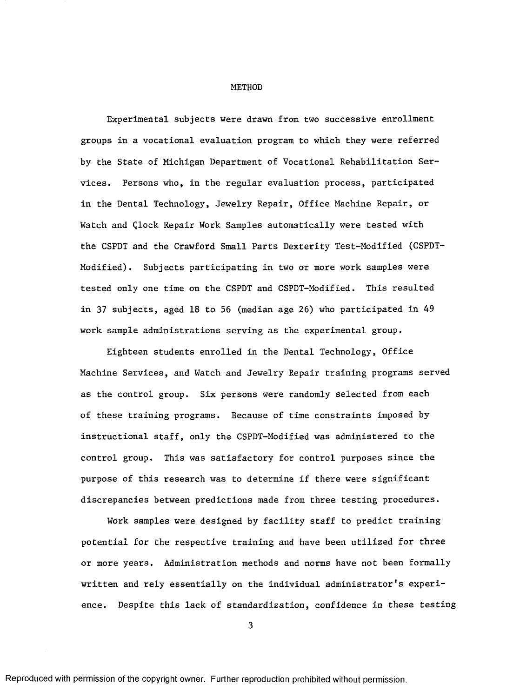#### METHOD

Experimental subjects were drawn from two successive enrollment groups in a vocational evaluation program to which they were referred by the State of Michigan Department of Vocational Rehabilitation Services. Persons who, in the regular evaluation process, participated in the Dental Technology, Jewelry Repair, Office Machine Repair, or Watch and Qlock Repair Work Samples automatically were tested with the CSPDT and the Crawford Small Parts Dexterity Test-Modified (CSPDT-Modified). Subjects participating in two or more work samples were tested only one time on the CSPDT and CSPDT-Modified. This resulted in 37 subjects, aged 18 to 56 (median age 26) who participated in 49 work sample administrations serving as the experimental group.

Eighteen students enrolled in the Dental Technology, Office Machine Services, and Watch and Jewelry Repair training programs served as the control group. Six persons were randomly selected from each of these training programs. Because of time constraints imposed by instructional staff, only the CSPDT-Modified was administered to the control group. This was satisfactory for control purposes since the purpose of this research was to determine if there were significant discrepancies between predictions made from three testing procedures.

Work samples were designed by facility staff to predict training potential for the respective training and have been utilized for three or more years. Administration methods and norms have not been formally written and rely essentially on the individual administrator's experience. Despite this lack of standardization, confidence in these testing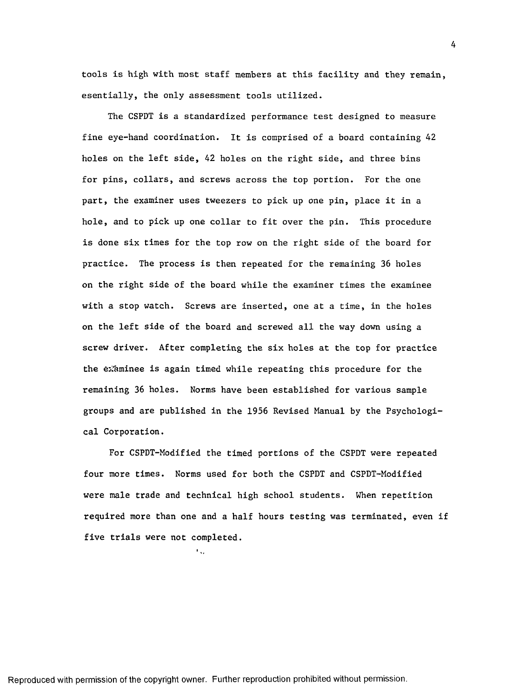tools is high with most staff members at this facility and they remain, esentially, the only assessment tools utilized.

The CSPDT is a standardized performance test designed to measure fine eye-hand coordination. It is comprised of a board containing 42 holes on the left side, 42 holes on the right side, and three bins for pins, collars, and screws across the top portion. For the one part, the examiner uses tweezers to pick up one pin, place it in a hole, and to pick up one collar to fit over the pin. This procedure is done six times for the top row on the right side of the board for practice. The process is then repeated for the remaining 36 holes on the right side of the board while the examiner times the examinee with a stop watch. Screws are inserted, one at a time, in the holes on the left side of the board and screwed all the way down using a screw driver. After completing the six holes at the top for practice the examinee is again timed while repeating this procedure for the remaining 36 holes. Norms have been established for various sample groups and are published in the 1956 Revised Manual by the Psychological Corporation.

For CSPDT-Modified the timed portions of the CSPDT were repeated four more times. Norms used for both the CSPDT and CSPDT-Modified were male trade and technical high school students. When repetition required more than one and a half hours testing was terminated, even if five trials were not completed.

 $\mathbf{F}_{\mathbf{G}}$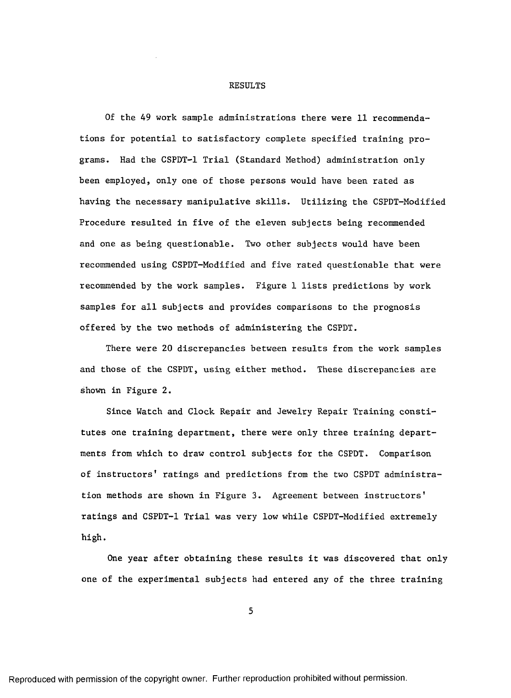#### RESULTS

Of the 49 work sample administrations there were 11 recommendations for potential to satisfactory complete specified training programs. Had the CSPDT-1 Trial (Standard Method) administration only been employed, only one of those persons would have been rated as having the necessary manipulative skills. Utilizing the CSPDT-Modified Procedure resulted in five of the eleven subjects being recommended and one as being questionable. Two other subjects would have been recommended using CSPDT-Modified and five rated questionable that were recommended by the work samples. Figure 1 lists predictions by work samples for all subjects and provides comparisons to the prognosis offered by the two methods of administering the CSPDT.

There were 20 discrepancies between results from the work samples and those of the CSPDT, using either method. These discrepancies are shown in Figure 2.

Since Watch and Clock Repair and Jewelry Repair Training constitutes one training department, there were only three training departments from which to draw control subjects for the CSPDT. Comparison of instructors' ratings and predictions from the two CSPDT administration methods are shown in Figure 3. Agreement between instructors' ratings and CSPDT-1 Trial was very low while CSPDT-Modified extremely high.

One year after obtaining these results it was discovered that only one of the experimental subjects had entered any of the three training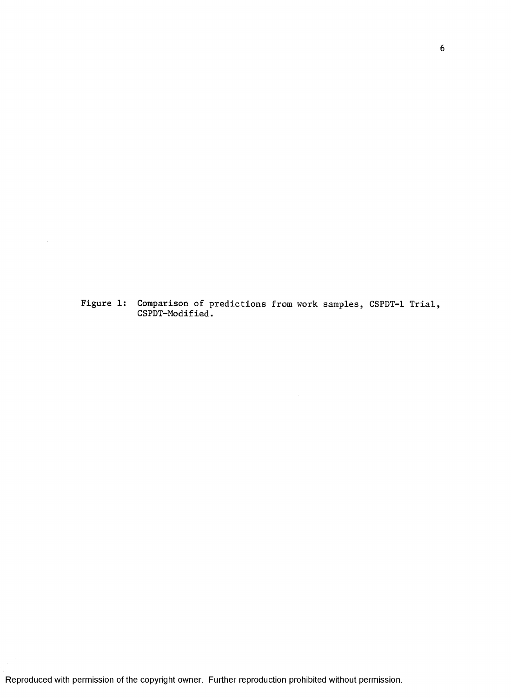Figure 1: Comparison of predictions from work samples, CSPDT-1 Trial, CSPDT-Modified.

 $\mathcal{L}$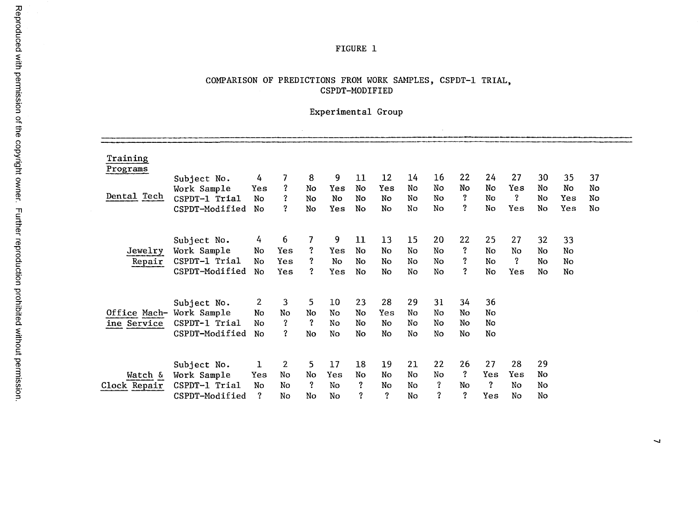#### FIGURE 1

## COMPARISON OF PREDICTIONS FROM WORK SAMPLES, CSPDT-1 TRIAL, CSPDT-MODIFIED

# Experimental Group

 $\sim 10^7$ 

 $\mathbb{R}^2$ 

| Training<br>Programs |                |                |                         |                         |     |    |     |    |    |    |     |     |    |     |    |  |
|----------------------|----------------|----------------|-------------------------|-------------------------|-----|----|-----|----|----|----|-----|-----|----|-----|----|--|
|                      | Subject No.    | 4              | 7                       | 8                       | 9   | 11 | 12  | 14 | 16 | 22 | 24  | 27  | 30 | 35  | 37 |  |
|                      | Work Sample    | Yes            | ?                       | No                      | Yes | No | Yes | No | No | No | No  | Yes | No | No  | No |  |
| Dental Tech          | CSPDT-1 Trial  | No             | $\overline{\mathbf{?}}$ | No                      | No  | No | No  | No | No | ?  | No  | ?   | No | Yes | No |  |
|                      |                |                | $\ddot{\textbf{c}}$     |                         |     |    |     |    | No | ?  | No  | Yes | No |     |    |  |
|                      | CSPDT-Modified | No             |                         | No                      | Yes | No | No  | No |    |    |     |     |    | Yes | No |  |
|                      |                |                |                         |                         |     |    |     |    |    |    |     |     |    |     |    |  |
|                      | Subject No.    | 4              | 6                       | 7                       | 9   | 11 | 13  | 15 | 20 | 22 | 25  | 27  | 32 | 33  |    |  |
| Jewelry              | Work Sample    | No             | Yes                     | ?                       | Yes | No | No  | No | No | ?  | No  | No  | No | No  |    |  |
|                      | CSPDT-1 Trial  | No.            | Yes                     | ?                       | No  | No | No  | No | No | ?  | No  | ?   | No | No  |    |  |
| Repair               |                |                |                         | $\overline{?}$          |     |    |     |    |    | ?  |     |     |    |     |    |  |
|                      | CSPDT-Modified | No             | Yes                     |                         | Yes | No | No  | No | No |    | No  | Yes | No | No  |    |  |
|                      |                |                |                         |                         |     |    |     |    |    |    |     |     |    |     |    |  |
|                      | Subject No.    | $\overline{2}$ | 3                       | 5.                      | 10  | 23 | 28  | 29 | 31 | 34 | 36  |     |    |     |    |  |
| Office Mach-         | Work Sample    | No             | No                      | No                      | No  | No | Yes | No | No | No | No  |     |    |     |    |  |
| ine Service          | CSPDT-1 Trial  | No             | $\ddot{\phantom{0}}$    | $\overline{\mathbf{?}}$ | No  | No | No  | No | No | No | No  |     |    |     |    |  |
|                      | CSPDT-Modified | No             | $\ddot{ }$              | No                      | No  | No | No  | No | No | No | No  |     |    |     |    |  |
|                      |                |                |                         |                         |     |    |     |    |    |    |     |     |    |     |    |  |
|                      |                |                |                         |                         |     |    |     |    |    |    |     |     |    |     |    |  |
|                      | Subject No.    | $\mathbf 1$    | 2                       | 5.                      | 17  | 18 | 19  | 21 | 22 | 26 | 27  | 28  | 29 |     |    |  |
| Watch &              | Work Sample    | Yes            | No                      | No                      | Yes | No | No  | No | No | ?  | Yes | Yes | No |     |    |  |
| Clock Repair         | CSPDT-1 Trial  | No             | No                      | $\overline{?}$          | No  | ?  | No  | No | ?  | No | ?   | No  | No |     |    |  |
|                      | CSPDT-Modified | ?              | No                      | No                      | No  | ?  | S.  | No | ?  | ?  | Yes | No  | No |     |    |  |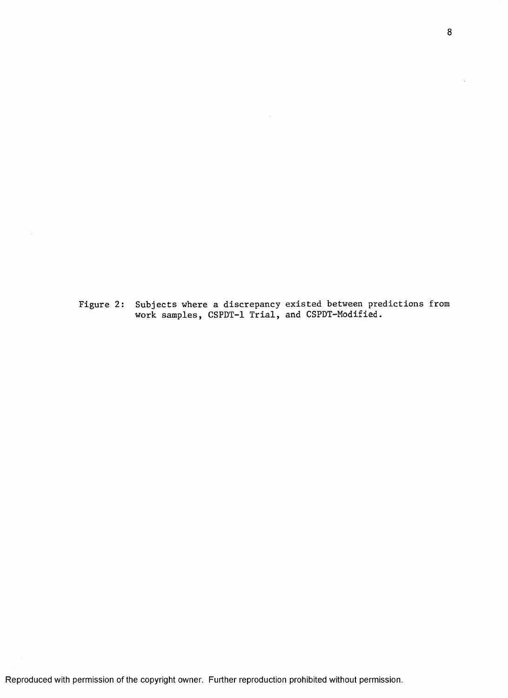Figure 2: Subjects where a discrepancy existed between predictions from work samples, CSPDT-1 Trial, and CSPDT-Modified.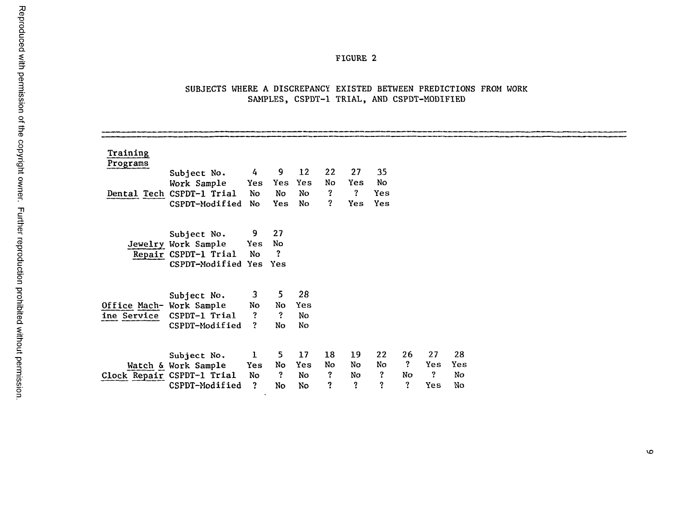## FIGURE 2

## SUBJECTS WHERE A DISCREPANCY EXISTED BETWEEN PREDICTIONS FROM WORK SAMPLES, CSPDT-1 TRIAL, AND CSPDT-MODIFIED

| <b>Training</b>          |                            |                |                         |     |                     |                |                |              |              |     |  |  |
|--------------------------|----------------------------|----------------|-------------------------|-----|---------------------|----------------|----------------|--------------|--------------|-----|--|--|
| Programs                 | Subject No.                | $4 -$          | $9 -$                   | 12  | 22                  | 27             | 35             |              |              |     |  |  |
|                          | Work Sample                | Yes            | <b>Yes</b>              | Yes | No                  | Yes            | No             |              |              |     |  |  |
|                          | Dental Tech CSPDT-1 Trial  | No             | No                      | No  | $\ddot{\mathbf{3}}$ | $\mathbf{?}$   | Yes            |              |              |     |  |  |
|                          | CSPDT-Modified             | No             | <b>Yes</b>              | No  | 2                   | Yes            | Yes            |              |              |     |  |  |
|                          | Subject No.                | 9              | 27                      |     |                     |                |                |              |              |     |  |  |
|                          | Jewelry Work Sample        | <b>Yes</b>     | No                      |     |                     |                |                |              |              |     |  |  |
|                          | Repair CSPDT-1 Trial       | No             | $\overline{\mathbf{c}}$ |     |                     |                |                |              |              |     |  |  |
|                          | CSPDT-Modified Yes Yes     |                |                         |     |                     |                |                |              |              |     |  |  |
|                          | Subject No.                | 3              | 5 <sub>1</sub>          | 28  |                     |                |                |              |              |     |  |  |
| Office Mach- Work Sample |                            | No             | No                      | Yes |                     |                |                |              |              |     |  |  |
| ine Service              | CSPDT-1 Trial              | $\overline{?}$ | $\ddot{\mathbf{?}}$     | No  |                     |                |                |              |              |     |  |  |
|                          | CSPDT-Modified             | $\overline{?}$ | No                      | No  |                     |                |                |              |              |     |  |  |
|                          | Subject No.                | $\mathbf{1}$   | 5 <sub>1</sub>          | 17  | 18                  | 19             | 22             | 26           | 27           | 28  |  |  |
|                          | Watch & Work Sample        | <b>Yes</b>     | No                      | Yes | No                  | No             | No             | $\mathbf{?}$ | Yes          | Yes |  |  |
|                          | Clock Repair CSPDT-1 Trial | No             | ?                       | No  | $\ddot{\mathbf{?}}$ | No             | $\ddot{\cdot}$ | No           | $\mathbf{?}$ | No  |  |  |
|                          | CSPDT-Modified             | $\overline{2}$ | No                      | No. | ?                   | $\ddot{\cdot}$ | ?              | $\ddot{?}$   | Yes          | No  |  |  |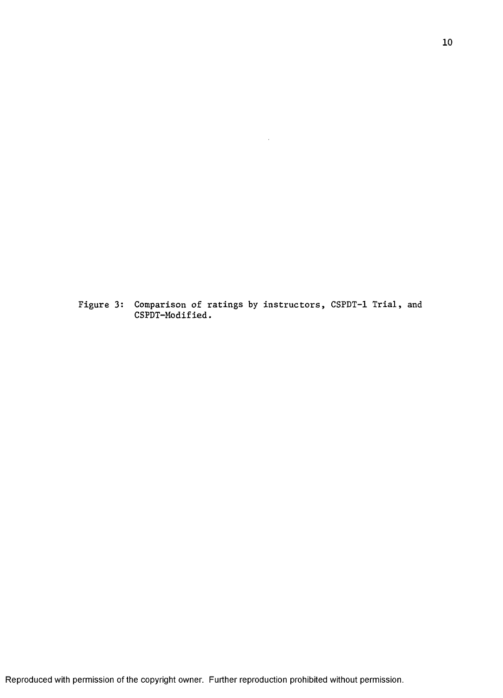Figure 3: Comparison of ratings by instructors, CSPDT-1 Trial, and CSPDT-Modified.

 $\hat{\boldsymbol{\theta}}$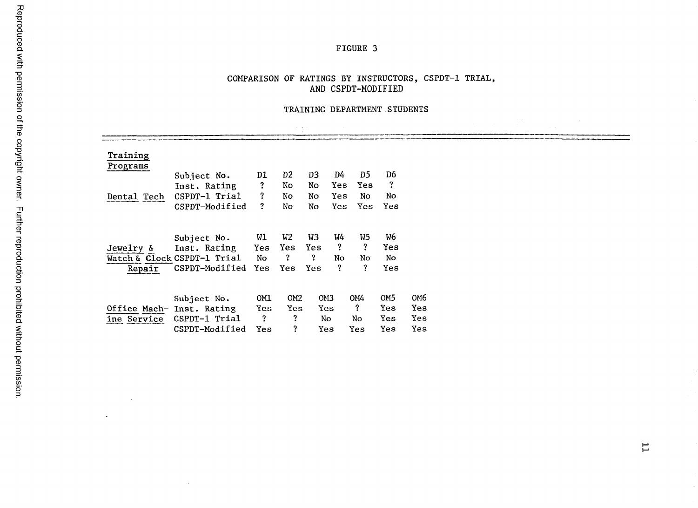# FIGURE 3

# COMPARISON OF RATINGS BY INSTRUCTORS, CSPDT-1 TRIAL, **AND CSPDT-MODIFIED**

#### TRAINING DEPARTMENT.STUDENTS

 $\sim 1.1\pm 0.1$ 

|             |                             |              |                 | $\mathbf{r}=\mathbf{r}+\mathbf{r}$ . |                 |                |                 |                 |  |  |
|-------------|-----------------------------|--------------|-----------------|--------------------------------------|-----------------|----------------|-----------------|-----------------|--|--|
| Training    |                             |              |                 |                                      |                 |                |                 |                 |  |  |
| Programs    |                             |              |                 |                                      |                 |                |                 |                 |  |  |
|             | Subject No.                 | D1           | D <sub>2</sub>  | D <sub>3</sub>                       | D4              | D5             | D6              |                 |  |  |
|             | Inst. Rating                | ?            | No              | No                                   | Yes             | Yes            | ?               |                 |  |  |
| Dental Tech | CSPDT-1 Trial               | $\mathbf{?}$ | No              | No                                   | Yes             | No             | No              |                 |  |  |
|             | CSPDT-Modified              | $\mathbf{?}$ | No              | No                                   | Yes             | Yes            | Yes             |                 |  |  |
|             |                             |              |                 |                                      |                 |                |                 |                 |  |  |
|             |                             |              |                 |                                      |                 |                |                 |                 |  |  |
|             | Subject No.                 | W1           | W2              | W3                                   | W4              | W <sub>5</sub> | W6              |                 |  |  |
| Jewelry &   | Inst. Rating                | Yes          | Yes             | Yes                                  | $\mathbf{?}$    | $\mathbf{?}$   | Yes             |                 |  |  |
|             | Watch & Clock CSPDT-1 Trial | No           | ?               | ?                                    | No              | No.            | No.             |                 |  |  |
| Repair      | CSPDT-Modified              | <b>Yes</b>   | Yes             | <b>Yes</b>                           | ?               | $\overline{?}$ | Yes             |                 |  |  |
|             |                             |              |                 |                                      |                 |                |                 |                 |  |  |
|             | Subject No.                 | OMI          | OM <sub>2</sub> |                                      | OM <sub>3</sub> | OM4            | OM <sub>5</sub> | OM <sub>6</sub> |  |  |
|             | Office Mach- Inst. Rating   | Yes          | Yes             |                                      | Yes             | $\mathbf{?}$   | Yes             | Yes             |  |  |
| ine Service | CSPDT-1 Trial               | $\mathbf{?}$ | ?               |                                      | No              | No             | Yes             | Yes             |  |  |
|             | CSPDT-Modified              | Yes          | ?               |                                      | Yes             | Yes            | Yes             | Yes             |  |  |

 $\sim$ 

 $\mathcal{A}$ 

 $\overline{L}$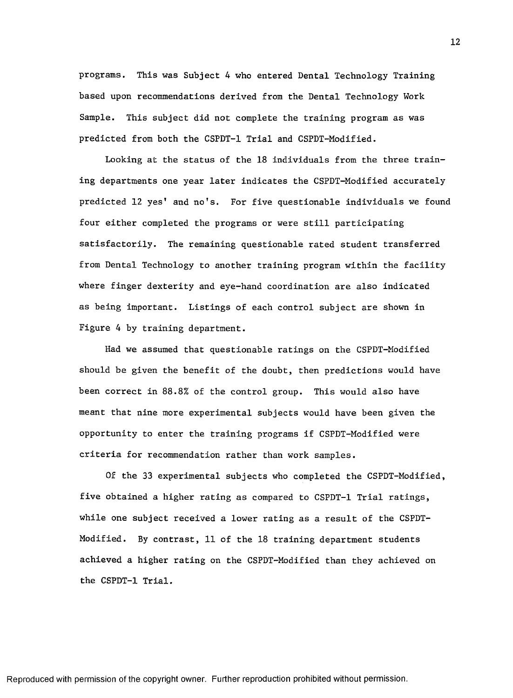programs. This was Subject 4 who entered Dental Technology Training based upon recommendations derived from the Dental Technology Work Sample. This subject did not complete the training program as was predicted from both the CSPDT-1 Trial and CSPDT-Modified.

Looking at the status of the 18 individuals from the three training departments one year later indicates the CSPDT-Modified accurately predicted 12 yes' and no's. For five questionable individuals we found four either completed the programs or were still participating satisfactorily. The remaining questionable rated student transferred from Dental Technology to another training program within the facility where finger dexterity and eye-hand coordination are also indicated as being important. Listings of each control subject are shown in Figure 4 by training department.

Had we assumed that questionable ratings on the CSPDT-Modified should be given the benefit of the doubt, then predictions would have been correct in 88.8% of the control group. This would also have meant that nine more experimental subjects would have been given the opportunity to enter the training programs if CSPDT-Modified were criteria for recommendation rather than work samples.

Of the 33 experimental subjects who completed the CSPDT-Modified, five obtained a higher rating as compared to CSPDT-1 Trial ratings, while one subject received a lower rating as a result of the CSPDT-Modified. By contrast, 11 of the 18 training department students achieved a higher rating on the CSPDT-Modified than they achieved on the CSPDT-1 Trial.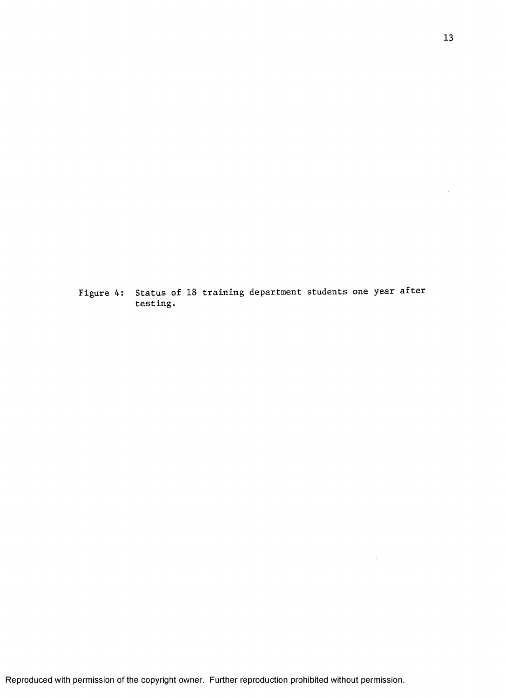Figure 4: Status of 18 training department students one year after testing.

 $\mathcal{A}^{\mathcal{A}}$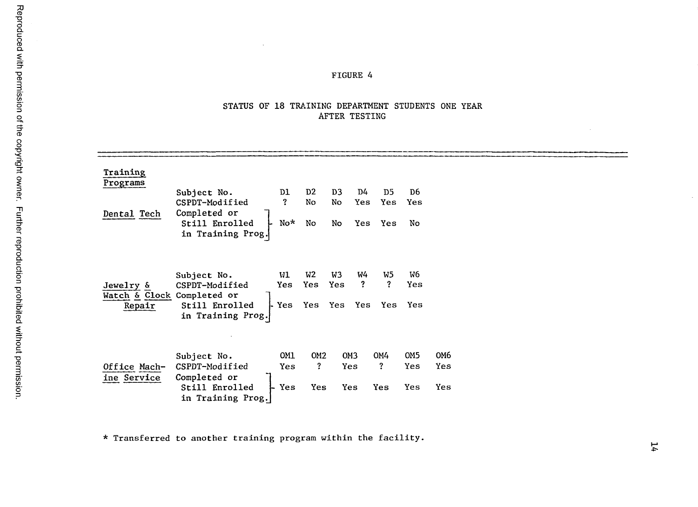# **FIGURE 4**

#### STATUS OF 18 TRAINING DEPARTMENT STUDENTS ONE YEAR **AFTER TESTING**

| Training<br>Programs<br>Dental Tech               | Subject No.<br>CSPDT-Modified<br>Completed or<br>Still Enrolled<br>in Training Prog. | D1<br>$\overline{?}$<br>No* | D <sub>2</sub><br>No<br>No                    | D <sub>3</sub><br>No<br>No           | D4<br>Yes<br><b>Yes</b>          | D5<br>Yes<br>Yes                         | D6<br>Yes<br>No                  |                   |  |
|---------------------------------------------------|--------------------------------------------------------------------------------------|-----------------------------|-----------------------------------------------|--------------------------------------|----------------------------------|------------------------------------------|----------------------------------|-------------------|--|
| Jewelry &<br>Watch & Clock Completed or<br>Repair | Subject No.<br>CSPDT-Modified<br>Still Enrolled<br>in Training Prog.                 | W1<br>Yes<br>⊦ Yes          | W <sub>2</sub><br>Yes<br>Yes Yes Yes          | W3<br>Yes                            | W4<br>$\boldsymbol{\mathcal{P}}$ | W5<br>$\overline{?}$                     | W <sub>6</sub><br>Yes<br>Yes Yes |                   |  |
| Office Mach-<br>ine Service                       | Subject No.<br>CSPDT-Modified<br>Completed or<br>Still Enrolled<br>in Training Prog. | OM1<br><b>Yes</b><br>├ Yes  | OM <sub>2</sub><br>$\mathbf{?}$<br><b>Yes</b> | OM <sub>3</sub><br><b>Yes</b><br>Yes |                                  | <b>OM4</b><br>$\ddot{\mathbf{?}}$<br>Yes | OM <sub>5</sub><br>Yes<br>Yes    | OM6<br>Yes<br>Yes |  |

\* Transferred to another training program within the facility.

 $\mathcal{L}_{\mathcal{A}}$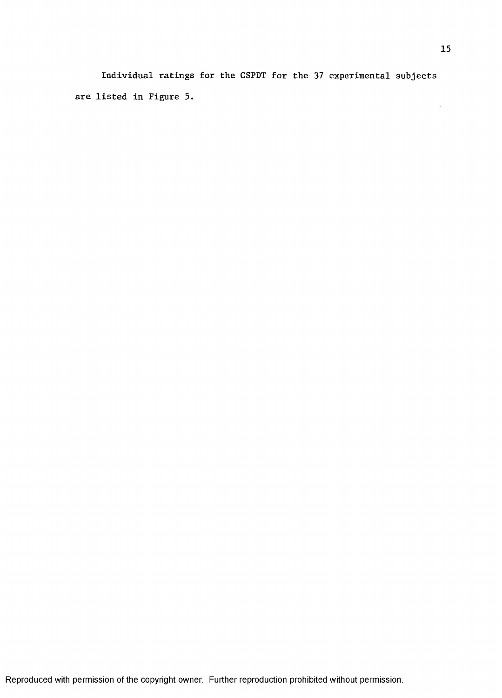Individual ratings for the CSPDT for the 37 experimental subjects are listed in Figure 5.  $\sim 10$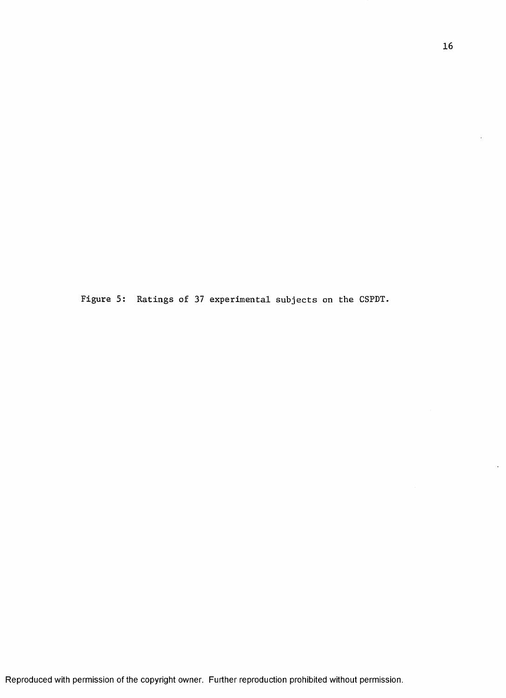Figure 5: Ratings of 37 experimental subjects on the CSPDT.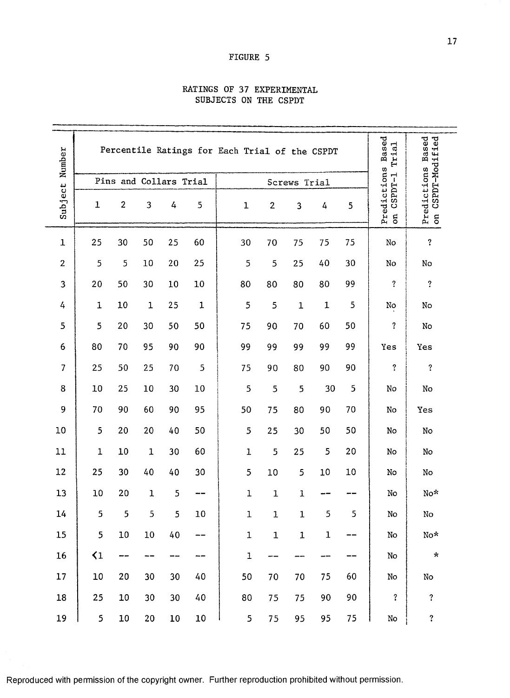#### FIGURE 5

## RATINGS OF 37 EXPERIMENTAL SUBJECTS ON THE GSPDT

|                |              | Percentile Ratings for Each Trial of the CSPDT |              | Based<br>Trial  | Predictions Based<br>on CSPDT-Modified |             |                |             |             |        |                             |                     |
|----------------|--------------|------------------------------------------------|--------------|-----------------|----------------------------------------|-------------|----------------|-------------|-------------|--------|-----------------------------|---------------------|
|                |              | Pins and Collars Trial                         |              |                 |                                        |             | Screws Trial   |             |             |        |                             |                     |
| Subject Number | $\mathbf{1}$ | $\overline{2}$                                 | 3            | 4               | 5                                      | $\mathbf 1$ | $\overline{2}$ | 3           | 4           | 5      | Predictions<br>on CSPDT-1 T |                     |
| $\mathbf 1$    | 25           | 30                                             | 50           | 25              | 60                                     | 30          | 70             | 75          | 75          | 75     | No                          | $\ddot{?}$          |
| $\overline{2}$ | 5            | 5                                              | 10           | 20              | 25                                     | 5           | 5              | 25          | 40          | 30     | No                          | No                  |
| 3              | 20           | 50                                             | 30           | $10\,$          | 10                                     | 80          | 80             | 80          | 80          | 99     | $\overline{\mathbf{?}}$     | $\ddot{\mathbf{?}}$ |
| 4              | 1            | 10                                             | $\mathbf 1$  | 25              | $\mathbf 1$                            | 5           | 5              | $\mathbf 1$ | $\mathbf 1$ | 5      | No                          | No                  |
| 5              | 5            | 20                                             | 30           | 50              | 50                                     | 75          | 90             | 70          | 60          | 50     | $\boldsymbol{\mathcal{L}}$  | No                  |
| 6              | 80           | 70                                             | 95           | 90              | 90                                     | 99          | 99             | 99          | 99          | 99     | Yes                         | Yes                 |
| $\overline{7}$ | 25           | 50                                             | 25           | 70              | 5                                      | 75          | 90             | 80          | 90          | 90     | $\overline{?}$              | $\ddot{?}$          |
| 8              | 10           | 25                                             | 10           | 30              | $10\,$                                 | 5           | 5              | 5           | 30          | 5      | No                          | No                  |
| 9              | 70           | 90                                             | 60           | 90              | 95                                     | 50          | 75             | 80          | 90          | 70     | $\rm\thinspace No$          | Yes                 |
| 10             | 5            | 20                                             | 20           | 40              | 50                                     | 5           | 25             | 30          | 50          | 50     | No                          | No                  |
| 11             | $\mathbf 1$  | 10                                             | $\mathbf{1}$ | 30              | 60                                     | $\mathbf 1$ | 5              | 25          | 5           | 20     | No                          | $\rm No$            |
| 12             | 25           | 30                                             | 40           | 40              | 30                                     | 5           | 10             | 5           | 10          | 10     | No                          | $\rm No$            |
| 13             | 10           | 20                                             | $\mathbf 1$  | 5               |                                        | 1           | $\mathbf 1$    | 1           |             |        | $\rm No$                    | No*                 |
| 14             | 5            | $5\phantom{.0}$                                | 5            | $\mathsf S$     | 10                                     | $\mathbf 1$ | $\mathbf 1$    | $\mathbf 1$ | 5           | 5      | $\rm No$                    | ${\rm No}$          |
| 15             | 5            | 10                                             | $10\,$       | 40              |                                        | $\mathbf 1$ | $\mathbf 1$    | $\mathbf 1$ | $\mathbf 1$ |        | $\rm\thinspace No$          | No*                 |
| 16             | $\langle 1$  | ---                                            | ---          | ---             |                                        | $\mathbf 1$ | --             |             |             |        | No                          | $\pmb{\star}$       |
| 17             | $10\,$       | 20                                             | 30           | 30 <sub>o</sub> | 40                                     | 50          | 70             | 70          | 75          | 60     | $\mathop{\mathrm{No}}$      | $\rm No$            |
| 18             | 25           | 10                                             | 30           | 30              | 40                                     | 80          | 75             | 75          | 90          | 90     | $\ddot{?}$                  | $\ddot{\mathbf{c}}$ |
| 19             | 5            | ${\bf 10}$                                     | $20\,$       | $10\,$          | $10\,$                                 | 5           | 75             | 95          | 95          | $75\,$ | $\rm\thinspace No$          | $\ddot{\text{?}}$   |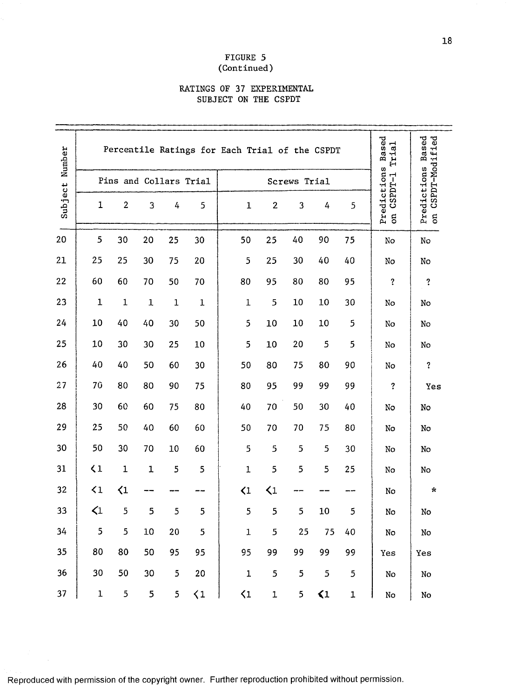## FIGURE 5 (Continued)

#### RATINGS OF 37 EXPERIMENTAL SUBJECT ON THE CSPDT

| Number  |                 | Percentile Ratings for Each Trial of the CSPDT | Based<br>Trial | Based<br>CSPDT-Modified |                        |              |                |                |                 |           |                                        |                             |
|---------|-----------------|------------------------------------------------|----------------|-------------------------|------------------------|--------------|----------------|----------------|-----------------|-----------|----------------------------------------|-----------------------------|
|         |                 |                                                |                |                         | Pins and Collars Trial |              | Screws Trial   |                |                 |           |                                        |                             |
| Subject | $\mathbf 1$     | $\overline{2}$                                 | 3              | 4                       | 5                      | $\mathbf 1$  | $\mathbf{2}$   | 3              | 4               | 5         | Predictions<br>CSPDT-1<br>$\mathbf{g}$ | Predictions<br>on CSPDT-Mod |
| 20      | 5               | 30                                             | 20             | 25                      | 30                     | 50           | 25             | 40             | 90              | 75        | No                                     | No                          |
| 21      | 25              | 25                                             | 30             | 75                      | 20                     | 5            | 25             | 30             | 40              | 40        | No                                     | No                          |
| 22      | 60              | 60                                             | 70             | 50                      | 70                     | 80           | 95             | 80             | 80              | 95        | $\ddot{\mathbf{?}}$                    | ?                           |
| 23      | $\mathbf 1$     | $\mathbf 1$                                    | $\mathbf 1$    | $\mathbf{1}$            | $\mathbf 1$            | $\mathbf{1}$ | 5              | 10             | 10              | 30        | No                                     | No                          |
| 24      | 10              | 40                                             | 40             | 30                      | 50                     | 5            | 10             | 10             | 10              | 5         | No                                     | No                          |
| 25      | 10              | 30                                             | 30             | 25                      | 10                     | 5            | 10             | 20             | 5               | 5         | No                                     | No                          |
| 26      | 40              | 40                                             | 50             | 60                      | 30                     | 50           | 80             | 75             | 80              | 90        | No                                     | $\boldsymbol{?}$            |
| 27      | <b>70</b>       | 80                                             | 80             | 90                      | 75                     | 80           | 95             | 99             | 99              | 99        | $\overline{\mathbf{?}}$                | Yes                         |
| 28      | 30              | 60                                             | 60             | 75                      | 80                     | 40           | 70             | 50             | 30              | 40        | No                                     | No                          |
| 29      | 25              | 50                                             | 40             | 60                      | 60                     | 50           | 70             | 70             | 75              | 80        | No                                     | No                          |
| 30      | 50              | 30                                             | 70             | 10                      | 60                     | 5            | 5              | 5              | 5               | 30        | No                                     | No                          |
| 31      | $\langle 1$     | $\mathbf 1$                                    | $\mathbf 1$    | 5                       | 5                      | $\mathbf{1}$ | 5              | 5              | 5               | 25        | No                                     | No                          |
| 32      | $\langle 1$     | $\langle 1$                                    |                |                         |                        | $\langle 1$  | $\langle 1$    |                |                 |           | No                                     | $\star$                     |
| 33      | $\triangleleft$ | 5                                              | 5              | 5                       | 5                      | 5            | 5              | 5              | 10              | 5         | No                                     | $\rm No$                    |
| 34      | 5               | $\mathbf{5}$                                   | $10\,$         | 20                      | 5                      | $\mathbf 1$  | $\overline{5}$ | 25             | 75              | 40        | No                                     | $\rm No$                    |
| 35      | 80              | 80                                             | 50             | 95                      | 95                     | 95           | 99             | 99             | 99              | 99        | Yes                                    | Yes                         |
| 36      | 30              | 50                                             | 30             | $5\phantom{.}$          | 20                     | $\mathbf 1$  | 5              | $\mathfrak{S}$ | 5               | 5         | $\rm No$                               | No                          |
| 37      | $\mathbf 1$     | $\overline{\mathbf{5}}$                        | 5              | 5                       | $\langle 1$            | $\zeta$ 1    | $\mathbf 1$    | 5              | $\triangleleft$ | ${\bf 1}$ | $\rm\thinspace No$                     | $\rm\thinspace No$          |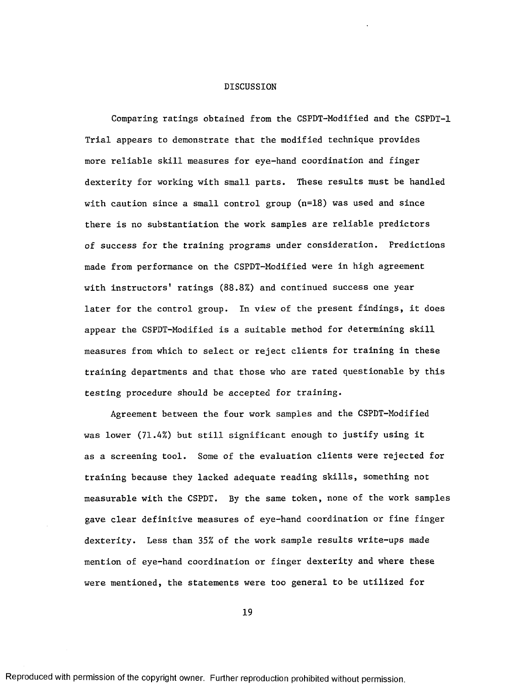#### DISCUSSION

Comparing ratings obtained from the CSPDT-Modified and the CSPDT-1 Trial appears to demonstrate that the modified technique provides more reliable skill measures for eye-hand coordination and finger dexterity for working with small parts. These results must be handled with caution since a small control group  $(n=18)$  was used and since there is no substantiation the work samples are reliable predictors of success for the training programs under consideration. Predictions made from performance on the CSPDT-Modified were in high agreement with instructors' ratings (88.8%) and continued success one year later for the control group. In view of the present findings, it does appear the CSPDT-Modified is a suitable method for determining skill measures from which to select or reject clients for training in these training departments and that those who are rated questionable by this testing procedure should be accepted for training.

Agreement between the four work samples and the CSPDT-Modified was lower (71.4%) but still significant enough to justify using it as a screening tool. Some of the evaluation clients were rejected for training because they lacked adequate reading skills, something not measurable with the CSPDT. By the same token, none of the work samples gave clear definitive measures of eye-hand coordination or fine finger dexterity. Less than 35% of the work sample results write-ups made mention of eye-hand coordination or finger dexterity and where these were mentioned, the statements were too general to be utilized for

19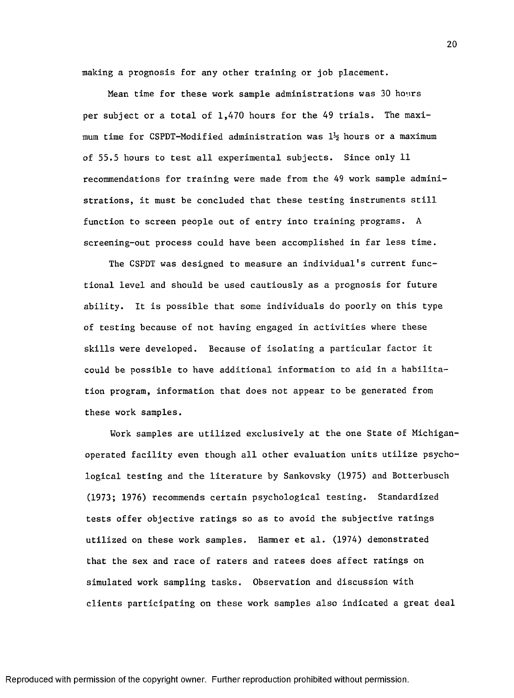making a prognosis for any other training or job placement.

Mean time for these work sample administrations was 30 hours per subject or a total of 1,470 hours for the 49 trials. The maximum time for CSPDT-Modified administration was *lh* hours or a maximum of 55.5 hours to test all experimental subjects. Since only 11 recommendations for training were made from the 49 work sample administrations, it must be concluded that these testing instruments still function to screen people out of entry into training programs. A screening-out process could have been accomplished in far less time.

The CSPDT was designed to measure an individual's current functional level and should be used cautiously as a prognosis for future ability. It is possible that some individuals do poorly on this type of testing because of not having engaged in activities where these skills were developed. Because of isolating a particular factor it could be possible to have additional information to aid in a habilitation program, information that does not appear to be generated from these work samples.

Work samples are utilized exclusively at the one State of Michiganoperated facility even though all other evaluation units utilize psychological testing and the literature by Sankovsky (1975) and Botterbusch (1973; 1976) recommends certain psychological testing. Standardized tests offer objective ratings so as to avoid the subjective ratings utilized on these work samples. Hamner et al. (1974) demonstrated that the sex and race of raters and ratees does affect ratings on simulated work sampling tasks. Observation and discussion with clients participating on these work samples also indicated a great deal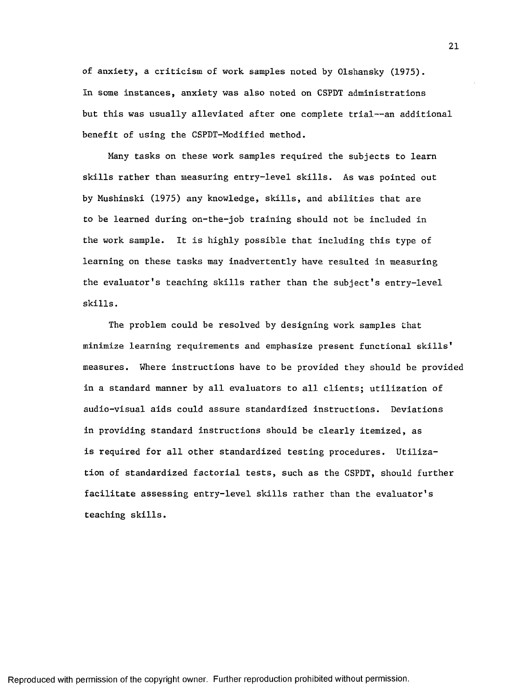of anxiety, a criticism of work samples noted by Olshansky (1975). In some instances, anxiety was also noted on CSPDT administrations but this was usually alleviated after one complete trial--an additional benefit of using the CSPDT-Modified method.

Many tasks on these work samples required the subjects to learn skills rather than measuring entry-level skills. As was pointed out by Mushinski (1975) any knowledge, skills, and abilities that are to be learned during on-the-job training should not be included in the work sample. It is highly possible that including this type of learning on these tasks may inadvertently have resulted in measuring the evaluator's teaching skills rather than the subject's entry-level skills.

The problem could be resolved by designing work samples that minimize learning requirements and emphasize present functional skills' measures. Where instructions have to be provided they should be provided in a standard manner by all evaluators to all clients; utilization of audio-visual aids could assure standardized instructions. Deviations in providing standard instructions should be clearly itemized, as is required for all other standardized testing procedures. Utilization of standardized factorial tests, such as the CSPDT, should further facilitate assessing entry-level skills rather than the evaluator's teaching skills.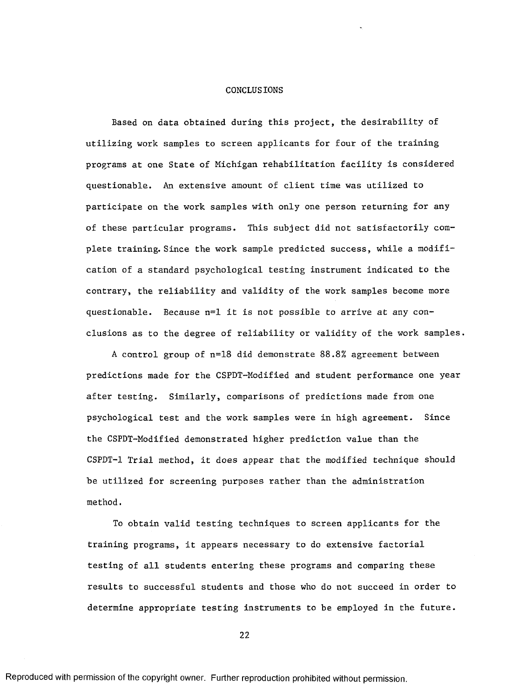#### CONCLUSIONS

Based on data obtained during this project, the desirability of utilizing work samples to screen applicants for four of the training programs at one State of Michigan rehabilitation facility is considered questionable. An extensive amount of client time was utilized to participate on the work samples with only one person returning for any of these particular programs. This subject did not satisfactorily complete training. Since the work sample predicted success, while a modification of a standard psychological testing instrument indicated to the contrary, the reliability and validity of the work samples become more questionable. Because n=l it is not possible to arrive at any conclusions as to the degree of reliability or validity of the work samples.

A control group of n=18 did demonstrate 88.8% agreement between predictions made for the CSPDT-Modified and student performance one year after testing. Similarly, comparisons of predictions made from one psychological test and the work samples were in high agreement. Since the CSPDT-Modified demonstrated higher prediction value than the CSPDT-1 Trial method, it does appear that the modified technique should be utilized for screening purposes rather than the administration method.

To obtain valid testing techniques to screen applicants for the training programs, it appears necessary to do extensive factorial testing of all students entering these programs and comparing these results to successful students and those who do not succeed in order to determine appropriate testing instruments to be employed in the future.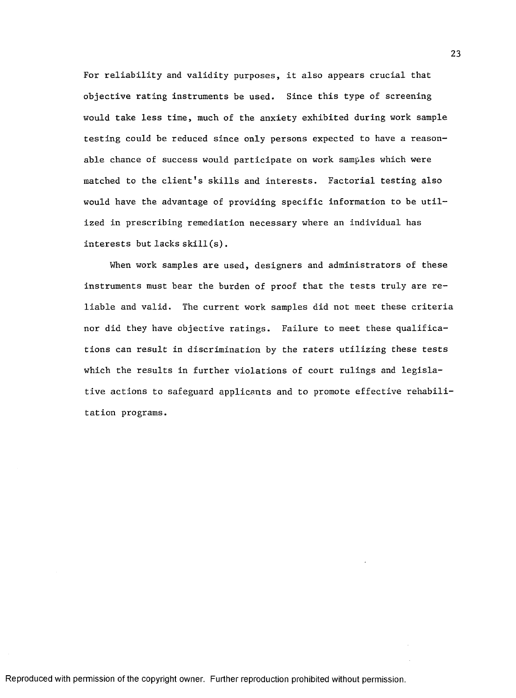For reliability and validity purposes, it also appears crucial that objective rating instruments be used. Since this type of screening would take less time, much of the anxiety exhibited during work sample testing could be reduced since only persons expected to have a reasonable chance of success would participate on work samples which were matched to the client's skills and interests. Factorial testing also would have the advantage of providing specific information to be utilized in prescribing remediation necessary where an individual has interests but lacks skill(s).

When work samples are used, designers and administrators of these instruments must bear the burden of proof that the tests truly are reliable and valid. The current work samples did not meet these criteria nor did they have objective ratings. Failure to meet these qualifications can result in discrimination by the raters utilizing these tests which the results in further violations of court rulings and legislative actions to safeguard applicants and to promote effective rehabilitation programs.